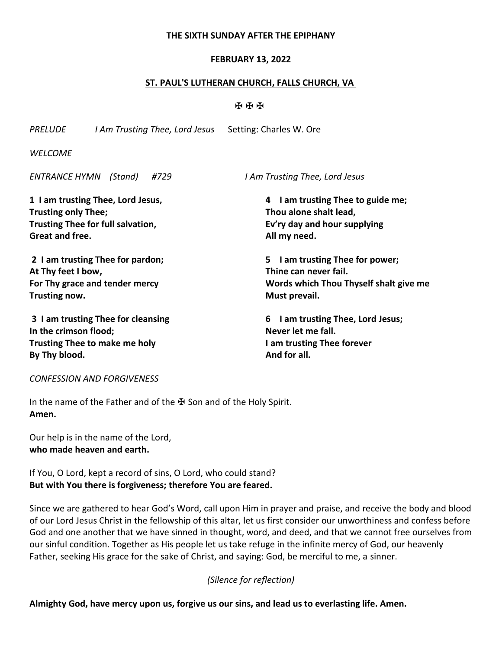### **THE SIXTH SUNDAY AFTER THE EPIPHANY**

### **FEBRUARY 13, 2022**

### **ST. PAUL'S LUTHERAN CHURCH, FALLS CHURCH, VA**

### ✠ ✠ ✠

**give me** 

| I Am Trusting Thee, Lord Jesus Setting: Charles W. Ore<br>PRELUDE                                    |  |      |                                                                                             |                                   |                                  |  |  |                                 |              |
|------------------------------------------------------------------------------------------------------|--|------|---------------------------------------------------------------------------------------------|-----------------------------------|----------------------------------|--|--|---------------------------------|--------------|
| <b>WELCOME</b>                                                                                       |  |      |                                                                                             |                                   |                                  |  |  |                                 |              |
| ENTRANCE HYMN (Stand)                                                                                |  | #729 |                                                                                             | I Am Trusting Thee, Lord Jesus    |                                  |  |  |                                 |              |
| 1 I am trusting Thee, Lord Jesus,<br><b>Trusting only Thee;</b><br>Trusting Thee for full salvation, |  |      | 4 I am trusting Thee to guide me;<br>Thou alone shalt lead,<br>Ev'ry day and hour supplying |                                   |                                  |  |  |                                 |              |
|                                                                                                      |  |      |                                                                                             |                                   | Great and free.                  |  |  |                                 | All my need. |
|                                                                                                      |  |      |                                                                                             |                                   | 2 I am trusting Thee for pardon; |  |  | 5 I am trusting Thee for power; |              |
| At Thy feet I bow,                                                                                   |  |      | Thine can never fail.                                                                       |                                   |                                  |  |  |                                 |              |
| For Thy grace and tender mercy                                                                       |  |      | Words which Thou Thyself shalt giv                                                          |                                   |                                  |  |  |                                 |              |
| Trusting now.                                                                                        |  |      | Must prevail.                                                                               |                                   |                                  |  |  |                                 |              |
| 3 I am trusting Thee for cleansing                                                                   |  |      |                                                                                             | 6 I am trusting Thee, Lord Jesus; |                                  |  |  |                                 |              |
| In the crimson flood;                                                                                |  |      | Never let me fall.                                                                          |                                   |                                  |  |  |                                 |              |
| <b>Trusting Thee to make me holy</b>                                                                 |  |      | I am trusting Thee forever                                                                  |                                   |                                  |  |  |                                 |              |
| By Thy blood.                                                                                        |  |      | And for all.                                                                                |                                   |                                  |  |  |                                 |              |

### *CONFESSION AND FORGIVENESS*

In the name of the Father and of the  $\mathbf{\Psi}$  Son and of the Holy Spirit. **Amen.**

Our help is in the name of the Lord, **who made heaven and earth.**

If You, O Lord, kept a record of sins, O Lord, who could stand? **But with You there is forgiveness; therefore You are feared.**

Since we are gathered to hear God's Word, call upon Him in prayer and praise, and receive the body and blood of our Lord Jesus Christ in the fellowship of this altar, let us first consider our unworthiness and confess before God and one another that we have sinned in thought, word, and deed, and that we cannot free ourselves from our sinful condition. Together as His people let us take refuge in the infinite mercy of God, our heavenly Father, seeking His grace for the sake of Christ, and saying: God, be merciful to me, a sinner.

### *(Silence for reflection)*

**Almighty God, have mercy upon us, forgive us our sins, and lead us to everlasting life. Amen.**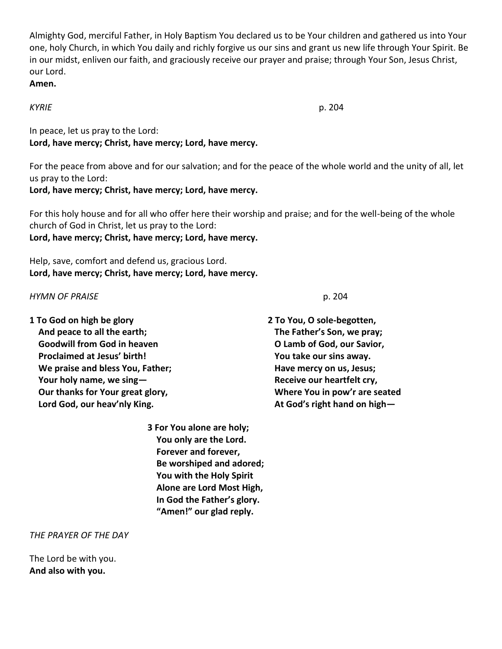Almighty God, merciful Father, in Holy Baptism You declared us to be Your children and gathered us into Your one, holy Church, in which You daily and richly forgive us our sins and grant us new life through Your Spirit. Be in our midst, enliven our faith, and graciously receive our prayer and praise; through Your Son, Jesus Christ, our Lord.

# **Amen.**

*KYRIE* p. 204

In peace, let us pray to the Lord: **Lord, have mercy; Christ, have mercy; Lord, have mercy.**

For the peace from above and for our salvation; and for the peace of the whole world and the unity of all, let us pray to the Lord:

**Lord, have mercy; Christ, have mercy; Lord, have mercy.**

For this holy house and for all who offer here their worship and praise; and for the well-being of the whole church of God in Christ, let us pray to the Lord:

**Lord, have mercy; Christ, have mercy; Lord, have mercy.**

Help, save, comfort and defend us, gracious Lord. **Lord, have mercy; Christ, have mercy; Lord, have mercy.**

### *HYMN OF PRAISE* p. 204

**1 To God on high be glory And peace to all the earth; Goodwill from God in heaven Proclaimed at Jesus' birth! We praise and bless You, Father; Your holy name, we sing— Our thanks for Your great glory, Lord God, our heav'nly King.**

> **3 For You alone are holy; You only are the Lord. Forever and forever, Be worshiped and adored; You with the Holy Spirit Alone are Lord Most High, In God the Father's glory. "Amen!" our glad reply.**

*THE PRAYER OF THE DAY*

The Lord be with you. **And also with you.**

**2 To You, O sole-begotten, The Father's Son, we pray; O Lamb of God, our Savior, You take our sins away. Have mercy on us, Jesus; Receive our heartfelt cry, Where You in pow'r are seated At God's right hand on high—**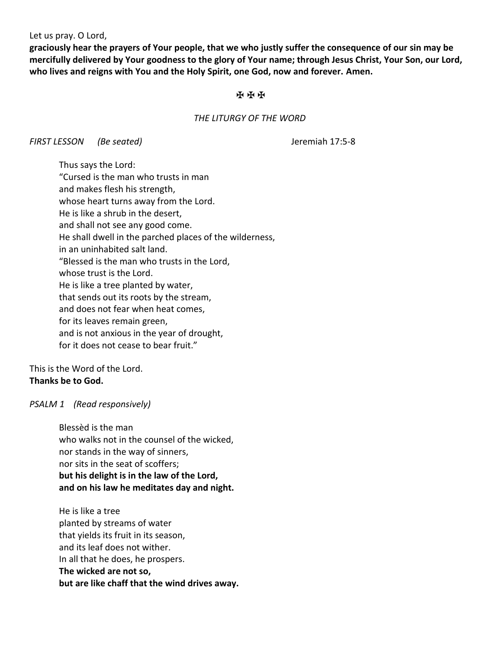Let us pray. O Lord,

**graciously hear the prayers of Your people, that we who justly suffer the consequence of our sin may be mercifully delivered by Your goodness to the glory of Your name; through Jesus Christ, Your Son, our Lord, who lives and reigns with You and the Holy Spirit, one God, now and forever. Amen.**

### ✠ ✠ ✠

### *THE LITURGY OF THE WORD*

*FIRST LESSON (Be seated)* Jeremiah 17:5-8

Thus says the Lord: "Cursed is the man who trusts in man and makes flesh his strength, whose heart turns away from the Lord. He is like a shrub in the desert, and shall not see any good come. He shall dwell in the parched places of the wilderness, in an uninhabited salt land. "Blessed is the man who trusts in the Lord, whose trust is the Lord. He is like a tree planted by water, that sends out its roots by the stream, and does not fear when heat comes, for its leaves remain green, and is not anxious in the year of drought, for it does not cease to bear fruit."

This is the Word of the Lord. **Thanks be to God.**

### *PSALM 1 (Read responsively)*

Blessèd is the man who walks not in the counsel of the wicked, nor stands in the way of sinners, nor sits in the seat of scoffers; **but his delight is in the law of the Lord, and on his law he meditates day and night.**

He is like a tree planted by streams of water that yields its fruit in its season, and its leaf does not wither. In all that he does, he prospers. **The wicked are not so, but are like chaff that the wind drives away.**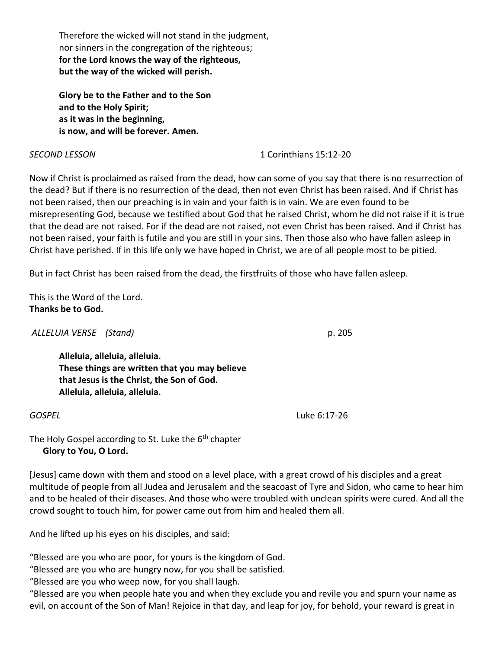Therefore the wicked will not stand in the judgment, nor sinners in the congregation of the righteous; **for the Lord knows the way of the righteous, but the way of the wicked will perish.**

**Glory be to the Father and to the Son and to the Holy Spirit; as it was in the beginning, is now, and will be forever. Amen.**

## *SECOND LESSON* 1 Corinthians 15:12-20

Now if Christ is proclaimed as raised from the dead, how can some of you say that there is no resurrection of the dead? But if there is no resurrection of the dead, then not even Christ has been raised. And if Christ has not been raised, then our preaching is in vain and your faith is in vain. We are even found to be misrepresenting God, because we testified about God that he raised Christ, whom he did not raise if it is true that the dead are not raised. For if the dead are not raised, not even Christ has been raised. And if Christ has not been raised, your faith is futile and you are still in your sins. Then those also who have fallen asleep in Christ have perished. If in this life only we have hoped in Christ, we are of all people most to be pitied.

But in fact Christ has been raised from the dead, the firstfruits of those who have fallen asleep.

This is the Word of the Lord. **Thanks be to God.**

*ALLELUIA VERSE (Stand)* p. 205

**Alleluia, alleluia, alleluia. These things are written that you may believe that Jesus is the Christ, the Son of God. Alleluia, alleluia, alleluia.**

*GOSPEL* Luke 6:17-26

The Holy Gospel according to St. Luke the  $6<sup>th</sup>$  chapter  **Glory to You, O Lord.**

[Jesus] came down with them and stood on a level place, with a great crowd of his disciples and a great multitude of people from all Judea and Jerusalem and the seacoast of Tyre and Sidon, who came to hear him and to be healed of their diseases. And those who were troubled with unclean spirits were cured. And all the crowd sought to touch him, for power came out from him and healed them all.

And he lifted up his eyes on his disciples, and said:

"Blessed are you who are poor, for yours is the kingdom of God.

"Blessed are you who are hungry now, for you shall be satisfied.

"Blessed are you who weep now, for you shall laugh.

"Blessed are you when people hate you and when they exclude you and revile you and spurn your name as evil, on account of the Son of Man! Rejoice in that day, and leap for joy, for behold, your reward is great in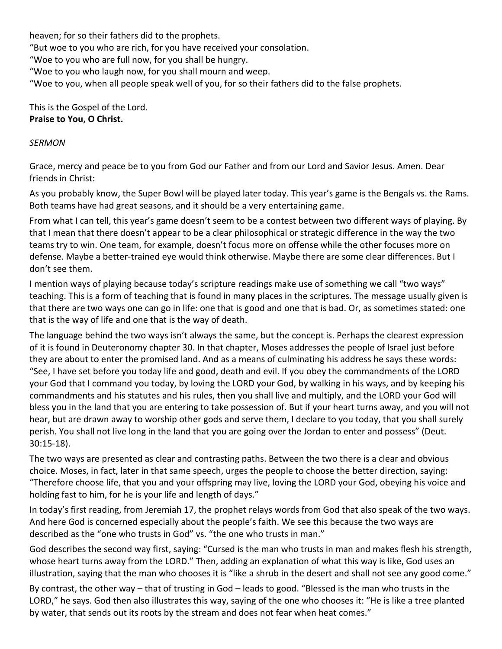heaven; for so their fathers did to the prophets.

"But woe to you who are rich, for you have received your consolation.

"Woe to you who are full now, for you shall be hungry.

"Woe to you who laugh now, for you shall mourn and weep.

"Woe to you, when all people speak well of you, for so their fathers did to the false prophets.

This is the Gospel of the Lord. **Praise to You, O Christ.**

### *SERMON*

Grace, mercy and peace be to you from God our Father and from our Lord and Savior Jesus. Amen. Dear friends in Christ:

As you probably know, the Super Bowl will be played later today. This year's game is the Bengals vs. the Rams. Both teams have had great seasons, and it should be a very entertaining game.

From what I can tell, this year's game doesn't seem to be a contest between two different ways of playing. By that I mean that there doesn't appear to be a clear philosophical or strategic difference in the way the two teams try to win. One team, for example, doesn't focus more on offense while the other focuses more on defense. Maybe a better-trained eye would think otherwise. Maybe there are some clear differences. But I don't see them.

I mention ways of playing because today's scripture readings make use of something we call "two ways" teaching. This is a form of teaching that is found in many places in the scriptures. The message usually given is that there are two ways one can go in life: one that is good and one that is bad. Or, as sometimes stated: one that is the way of life and one that is the way of death.

The language behind the two ways isn't always the same, but the concept is. Perhaps the clearest expression of it is found in Deuteronomy chapter 30. In that chapter, Moses addresses the people of Israel just before they are about to enter the promised land. And as a means of culminating his address he says these words: "See, I have set before you today life and good, death and evil. If you obey the commandments of the LORD your God that I command you today, by loving the LORD your God, by walking in his ways, and by keeping his commandments and his statutes and his rules, then you shall live and multiply, and the LORD your God will bless you in the land that you are entering to take possession of. But if your heart turns away, and you will not hear, but are drawn away to worship other gods and serve them, I declare to you today, that you shall surely perish. You shall not live long in the land that you are going over the Jordan to enter and possess" (Deut. 30:15-18).

The two ways are presented as clear and contrasting paths. Between the two there is a clear and obvious choice. Moses, in fact, later in that same speech, urges the people to choose the better direction, saying: "Therefore choose life, that you and your offspring may live, loving the LORD your God, obeying his voice and holding fast to him, for he is your life and length of days."

In today's first reading, from Jeremiah 17, the prophet relays words from God that also speak of the two ways. And here God is concerned especially about the people's faith. We see this because the two ways are described as the "one who trusts in God" vs. "the one who trusts in man."

God describes the second way first, saying: "Cursed is the man who trusts in man and makes flesh his strength, whose heart turns away from the LORD." Then, adding an explanation of what this way is like, God uses an illustration, saying that the man who chooses it is "like a shrub in the desert and shall not see any good come."

By contrast, the other way – that of trusting in God – leads to good. "Blessed is the man who trusts in the LORD," he says. God then also illustrates this way, saying of the one who chooses it: "He is like a tree planted by water, that sends out its roots by the stream and does not fear when heat comes."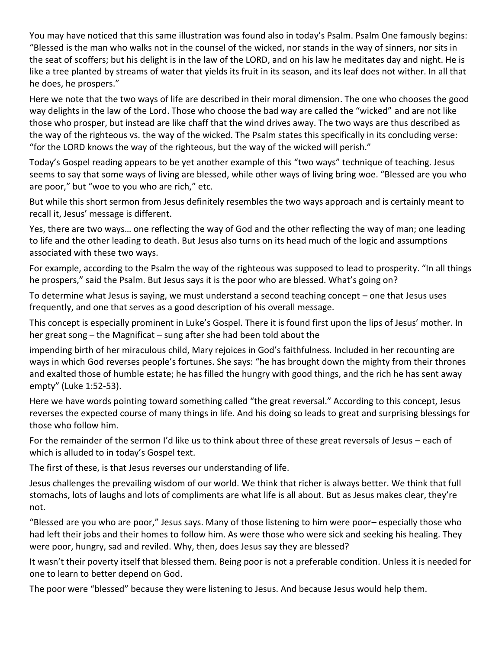You may have noticed that this same illustration was found also in today's Psalm. Psalm One famously begins: "Blessed is the man who walks not in the counsel of the wicked, nor stands in the way of sinners, nor sits in the seat of scoffers; but his delight is in the law of the LORD, and on his law he meditates day and night. He is like a tree planted by streams of water that yields its fruit in its season, and its leaf does not wither. In all that he does, he prospers."

Here we note that the two ways of life are described in their moral dimension. The one who chooses the good way delights in the law of the Lord. Those who choose the bad way are called the "wicked" and are not like those who prosper, but instead are like chaff that the wind drives away. The two ways are thus described as the way of the righteous vs. the way of the wicked. The Psalm states this specifically in its concluding verse: "for the LORD knows the way of the righteous, but the way of the wicked will perish."

Today's Gospel reading appears to be yet another example of this "two ways" technique of teaching. Jesus seems to say that some ways of living are blessed, while other ways of living bring woe. "Blessed are you who are poor," but "woe to you who are rich," etc.

But while this short sermon from Jesus definitely resembles the two ways approach and is certainly meant to recall it, Jesus' message is different.

Yes, there are two ways… one reflecting the way of God and the other reflecting the way of man; one leading to life and the other leading to death. But Jesus also turns on its head much of the logic and assumptions associated with these two ways.

For example, according to the Psalm the way of the righteous was supposed to lead to prosperity. "In all things he prospers," said the Psalm. But Jesus says it is the poor who are blessed. What's going on?

To determine what Jesus is saying, we must understand a second teaching concept – one that Jesus uses frequently, and one that serves as a good description of his overall message.

This concept is especially prominent in Luke's Gospel. There it is found first upon the lips of Jesus' mother. In her great song – the Magnificat – sung after she had been told about the

impending birth of her miraculous child, Mary rejoices in God's faithfulness. Included in her recounting are ways in which God reverses people's fortunes. She says: "he has brought down the mighty from their thrones and exalted those of humble estate; he has filled the hungry with good things, and the rich he has sent away empty" (Luke 1:52-53).

Here we have words pointing toward something called "the great reversal." According to this concept, Jesus reverses the expected course of many things in life. And his doing so leads to great and surprising blessings for those who follow him.

For the remainder of the sermon I'd like us to think about three of these great reversals of Jesus – each of which is alluded to in today's Gospel text.

The first of these, is that Jesus reverses our understanding of life.

Jesus challenges the prevailing wisdom of our world. We think that richer is always better. We think that full stomachs, lots of laughs and lots of compliments are what life is all about. But as Jesus makes clear, they're not.

"Blessed are you who are poor," Jesus says. Many of those listening to him were poor– especially those who had left their jobs and their homes to follow him. As were those who were sick and seeking his healing. They were poor, hungry, sad and reviled. Why, then, does Jesus say they are blessed?

It wasn't their poverty itself that blessed them. Being poor is not a preferable condition. Unless it is needed for one to learn to better depend on God.

The poor were "blessed" because they were listening to Jesus. And because Jesus would help them.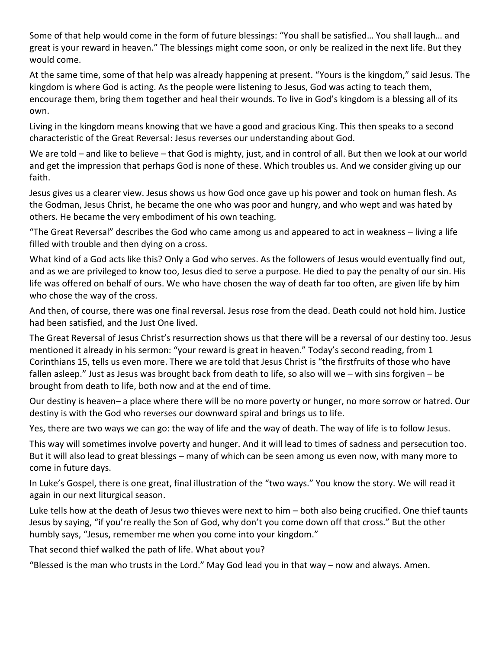Some of that help would come in the form of future blessings: "You shall be satisfied… You shall laugh… and great is your reward in heaven." The blessings might come soon, or only be realized in the next life. But they would come.

At the same time, some of that help was already happening at present. "Yours is the kingdom," said Jesus. The kingdom is where God is acting. As the people were listening to Jesus, God was acting to teach them, encourage them, bring them together and heal their wounds. To live in God's kingdom is a blessing all of its own.

Living in the kingdom means knowing that we have a good and gracious King. This then speaks to a second characteristic of the Great Reversal: Jesus reverses our understanding about God.

We are told – and like to believe – that God is mighty, just, and in control of all. But then we look at our world and get the impression that perhaps God is none of these. Which troubles us. And we consider giving up our faith.

Jesus gives us a clearer view. Jesus shows us how God once gave up his power and took on human flesh. As the Godman, Jesus Christ, he became the one who was poor and hungry, and who wept and was hated by others. He became the very embodiment of his own teaching.

"The Great Reversal" describes the God who came among us and appeared to act in weakness – living a life filled with trouble and then dying on a cross.

What kind of a God acts like this? Only a God who serves. As the followers of Jesus would eventually find out, and as we are privileged to know too, Jesus died to serve a purpose. He died to pay the penalty of our sin. His life was offered on behalf of ours. We who have chosen the way of death far too often, are given life by him who chose the way of the cross.

And then, of course, there was one final reversal. Jesus rose from the dead. Death could not hold him. Justice had been satisfied, and the Just One lived.

The Great Reversal of Jesus Christ's resurrection shows us that there will be a reversal of our destiny too. Jesus mentioned it already in his sermon: "your reward is great in heaven." Today's second reading, from 1 Corinthians 15, tells us even more. There we are told that Jesus Christ is "the firstfruits of those who have fallen asleep." Just as Jesus was brought back from death to life, so also will we – with sins forgiven – be brought from death to life, both now and at the end of time.

Our destiny is heaven– a place where there will be no more poverty or hunger, no more sorrow or hatred. Our destiny is with the God who reverses our downward spiral and brings us to life.

Yes, there are two ways we can go: the way of life and the way of death. The way of life is to follow Jesus.

This way will sometimes involve poverty and hunger. And it will lead to times of sadness and persecution too. But it will also lead to great blessings – many of which can be seen among us even now, with many more to come in future days.

In Luke's Gospel, there is one great, final illustration of the "two ways." You know the story. We will read it again in our next liturgical season.

Luke tells how at the death of Jesus two thieves were next to him – both also being crucified. One thief taunts Jesus by saying, "if you're really the Son of God, why don't you come down off that cross." But the other humbly says, "Jesus, remember me when you come into your kingdom."

That second thief walked the path of life. What about you?

"Blessed is the man who trusts in the Lord." May God lead you in that way – now and always. Amen.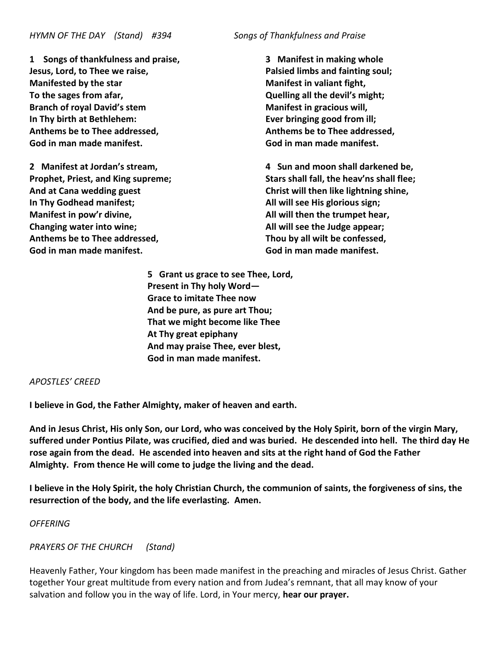**1 Songs of thankfulness and praise, Jesus, Lord, to Thee we raise, Manifested by the star To the sages from afar, Branch of royal David's stem In Thy birth at Bethlehem: Anthems be to Thee addressed, God in man made manifest.**

**2 Manifest at Jordan's stream, Prophet, Priest, and King supreme; And at Cana wedding guest In Thy Godhead manifest; Manifest in pow'r divine, Changing water into wine; Anthems be to Thee addressed, God in man made manifest.**

**3 Manifest in making whole Palsied limbs and fainting soul; Manifest in valiant fight, Quelling all the devil's might; Manifest in gracious will, Ever bringing good from ill; Anthems be to Thee addressed, God in man made manifest.**

**4 Sun and moon shall darkened be, Stars shall fall, the heav'ns shall flee; Christ will then like lightning shine, All will see His glorious sign; All will then the trumpet hear, All will see the Judge appear; Thou by all wilt be confessed, God in man made manifest.**

**5 Grant us grace to see Thee, Lord, Present in Thy holy Word— Grace to imitate Thee now And be pure, as pure art Thou; That we might become like Thee At Thy great epiphany And may praise Thee, ever blest, God in man made manifest.**

### *APOSTLES' CREED*

**I believe in God, the Father Almighty, maker of heaven and earth.**

**And in Jesus Christ, His only Son, our Lord, who was conceived by the Holy Spirit, born of the virgin Mary, suffered under Pontius Pilate, was crucified, died and was buried. He descended into hell. The third day He rose again from the dead. He ascended into heaven and sits at the right hand of God the Father Almighty. From thence He will come to judge the living and the dead.**

**I believe in the Holy Spirit, the holy Christian Church, the communion of saints, the forgiveness of sins, the resurrection of the body, and the life everlasting. Amen.**

### *OFFERING*

*PRAYERS OF THE CHURCH (Stand)*

Heavenly Father, Your kingdom has been made manifest in the preaching and miracles of Jesus Christ. Gather together Your great multitude from every nation and from Judea's remnant, that all may know of your salvation and follow you in the way of life. Lord, in Your mercy, **hear our prayer.**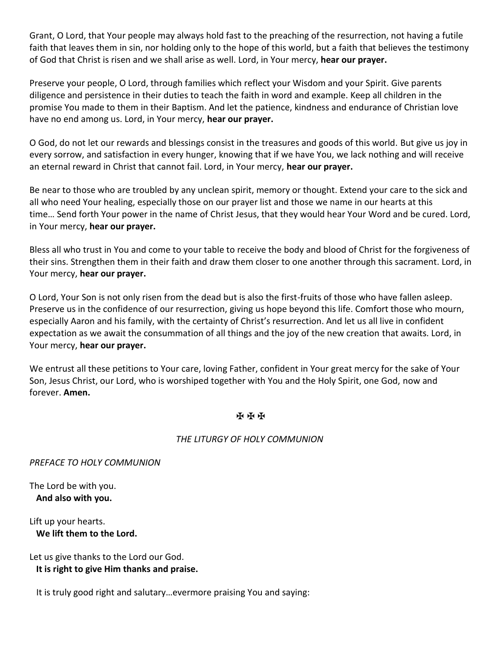Grant, O Lord, that Your people may always hold fast to the preaching of the resurrection, not having a futile faith that leaves them in sin, nor holding only to the hope of this world, but a faith that believes the testimony of God that Christ is risen and we shall arise as well. Lord, in Your mercy, **hear our prayer.**

Preserve your people, O Lord, through families which reflect your Wisdom and your Spirit. Give parents diligence and persistence in their duties to teach the faith in word and example. Keep all children in the promise You made to them in their Baptism. And let the patience, kindness and endurance of Christian love have no end among us. Lord, in Your mercy, **hear our prayer.**

O God, do not let our rewards and blessings consist in the treasures and goods of this world. But give us joy in every sorrow, and satisfaction in every hunger, knowing that if we have You, we lack nothing and will receive an eternal reward in Christ that cannot fail. Lord, in Your mercy, **hear our prayer.**

Be near to those who are troubled by any unclean spirit, memory or thought. Extend your care to the sick and all who need Your healing, especially those on our prayer list and those we name in our hearts at this time… Send forth Your power in the name of Christ Jesus, that they would hear Your Word and be cured. Lord, in Your mercy, **hear our prayer.**

Bless all who trust in You and come to your table to receive the body and blood of Christ for the forgiveness of their sins. Strengthen them in their faith and draw them closer to one another through this sacrament. Lord, in Your mercy, **hear our prayer.**

O Lord, Your Son is not only risen from the dead but is also the first-fruits of those who have fallen asleep. Preserve us in the confidence of our resurrection, giving us hope beyond this life. Comfort those who mourn, especially Aaron and his family, with the certainty of Christ's resurrection. And let us all live in confident expectation as we await the consummation of all things and the joy of the new creation that awaits. Lord, in Your mercy, **hear our prayer.**

We entrust all these petitions to Your care, loving Father, confident in Your great mercy for the sake of Your Son, Jesus Christ, our Lord, who is worshiped together with You and the Holy Spirit, one God, now and forever. **Amen.**

### ✠ ✠ ✠

### *THE LITURGY OF HOLY COMMUNION*

*PREFACE TO HOLY COMMUNION*

The Lord be with you.  **And also with you.**

Lift up your hearts.  **We lift them to the Lord.**

Let us give thanks to the Lord our God.  **It is right to give Him thanks and praise.**

It is truly good right and salutary…evermore praising You and saying: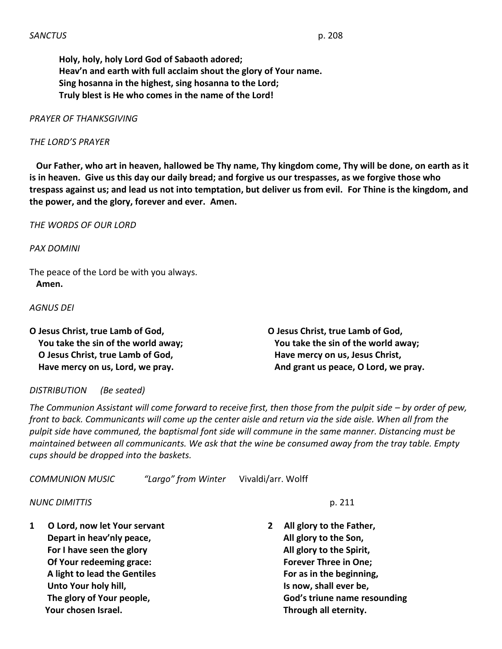### *PRAYER OF THANKSGIVING*

### *THE LORD'S PRAYER*

 **Our Father, who art in heaven, hallowed be Thy name, Thy kingdom come, Thy will be done, on earth as it is in heaven. Give us this day our daily bread; and forgive us our trespasses, as we forgive those who trespass against us; and lead us not into temptation, but deliver us from evil. For Thine is the kingdom, and the power, and the glory, forever and ever. Amen.**

*THE WORDS OF OUR LORD*

*PAX DOMINI*

The peace of the Lord be with you always.  **Amen.**

*AGNUS DEI*

**O Jesus Christ, true Lamb of God, You take the sin of the world away; O Jesus Christ, true Lamb of God, Have mercy on us, Lord, we pray.**

**O Jesus Christ, true Lamb of God, You take the sin of the world away; Have mercy on us, Jesus Christ, And grant us peace, O Lord, we pray.**

### *DISTRIBUTION (Be seated)*

*The Communion Assistant will come forward to receive first, then those from the pulpit side – by order of pew, front to back. Communicants will come up the center aisle and return via the side aisle. When all from the pulpit side have communed, the baptismal font side will commune in the same manner. Distancing must be maintained between all communicants. We ask that the wine be consumed away from the tray table. Empty cups should be dropped into the baskets.*

*COMMUNION MUSIC "Largo" from Winter* Vivaldi/arr. Wolff

*NUNC DIMITTIS* p. 211

**1 O Lord, now let Your servant Depart in heav'nly peace, For I have seen the glory Of Your redeeming grace: A light to lead the Gentiles Unto Your holy hill, The glory of Your people, Your chosen Israel.**

**2 All glory to the Father, All glory to the Son, All glory to the Spirit, Forever Three in One; For as in the beginning, Is now, shall ever be, God's triune name resounding Through all eternity.**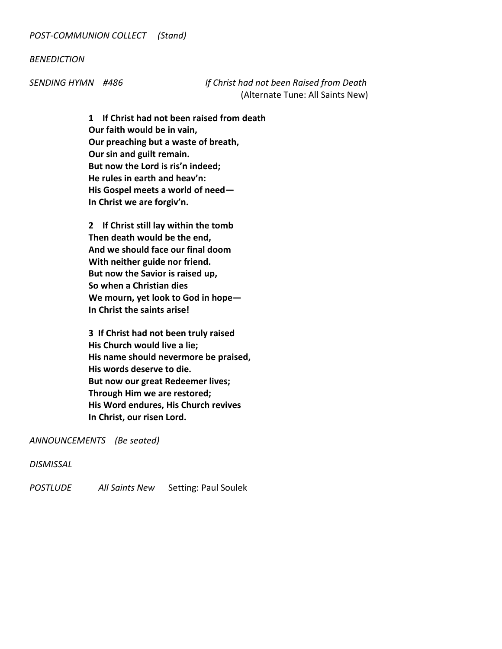### *BENEDICTION*

*SENDING HYMN #486 If Christ had not been Raised from Death* (Alternate Tune: All Saints New)

> **1 If Christ had not been raised from death Our faith would be in vain, Our preaching but a waste of breath, Our sin and guilt remain. But now the Lord is ris'n indeed; He rules in earth and heav'n: His Gospel meets a world of need— In Christ we are forgiv'n.**

**2 If Christ still lay within the tomb Then death would be the end, And we should face our final doom With neither guide nor friend. But now the Savior is raised up, So when a Christian dies We mourn, yet look to God in hope— In Christ the saints arise!**

**3 If Christ had not been truly raised His Church would live a lie; His name should nevermore be praised, His words deserve to die. But now our great Redeemer lives; Through Him we are restored; His Word endures, His Church revives In Christ, our risen Lord.**

*ANNOUNCEMENTS (Be seated)*

*DISMISSAL*

*POSTLUDE All Saints New* Setting: Paul Soulek